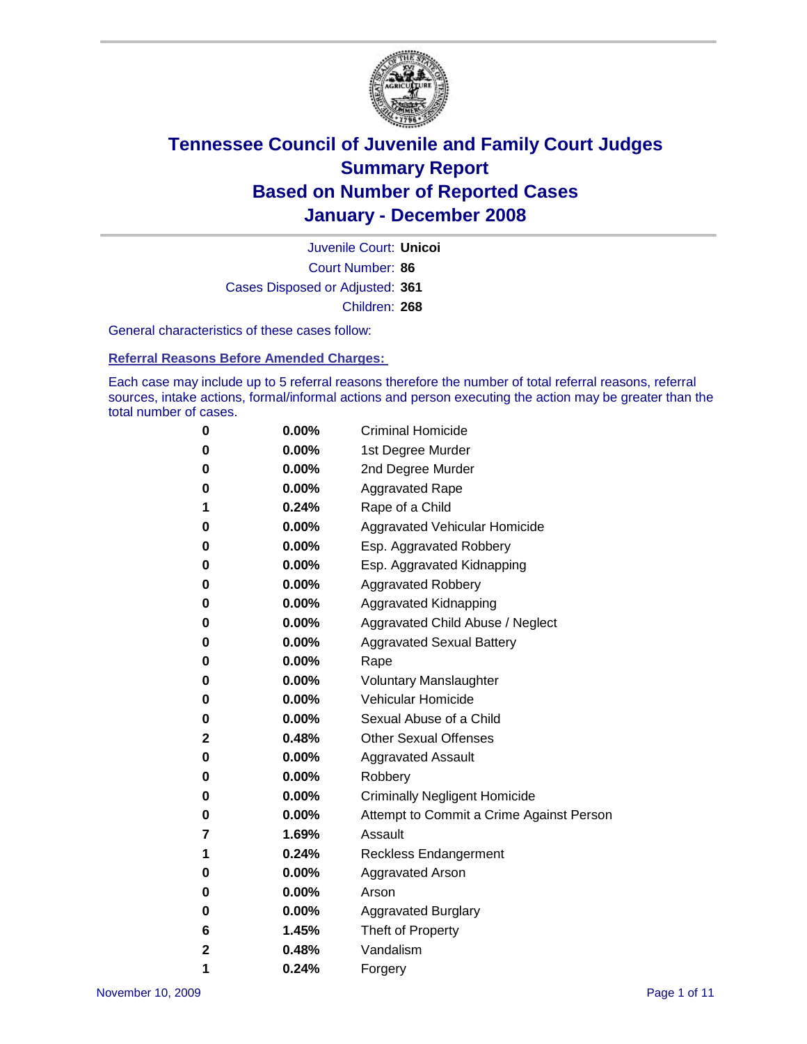

Court Number: **86** Juvenile Court: **Unicoi** Cases Disposed or Adjusted: **361** Children: **268**

General characteristics of these cases follow:

**Referral Reasons Before Amended Charges:** 

Each case may include up to 5 referral reasons therefore the number of total referral reasons, referral sources, intake actions, formal/informal actions and person executing the action may be greater than the total number of cases.

| 0 | $0.00\%$ | <b>Criminal Homicide</b>                 |
|---|----------|------------------------------------------|
| 0 | 0.00%    | 1st Degree Murder                        |
| 0 | $0.00\%$ | 2nd Degree Murder                        |
| 0 | $0.00\%$ | <b>Aggravated Rape</b>                   |
| 1 | 0.24%    | Rape of a Child                          |
| 0 | 0.00%    | Aggravated Vehicular Homicide            |
| 0 | 0.00%    | Esp. Aggravated Robbery                  |
| 0 | $0.00\%$ | Esp. Aggravated Kidnapping               |
| 0 | 0.00%    | <b>Aggravated Robbery</b>                |
| 0 | $0.00\%$ | Aggravated Kidnapping                    |
| 0 | $0.00\%$ | Aggravated Child Abuse / Neglect         |
| 0 | $0.00\%$ | <b>Aggravated Sexual Battery</b>         |
| 0 | 0.00%    | Rape                                     |
| 0 | $0.00\%$ | <b>Voluntary Manslaughter</b>            |
| 0 | 0.00%    | Vehicular Homicide                       |
| 0 | 0.00%    | Sexual Abuse of a Child                  |
| 2 | 0.48%    | <b>Other Sexual Offenses</b>             |
| 0 | 0.00%    | <b>Aggravated Assault</b>                |
| 0 | $0.00\%$ | Robbery                                  |
| 0 | 0.00%    | <b>Criminally Negligent Homicide</b>     |
| 0 | $0.00\%$ | Attempt to Commit a Crime Against Person |
| 7 | 1.69%    | Assault                                  |
| 1 | 0.24%    | <b>Reckless Endangerment</b>             |
| 0 | 0.00%    | <b>Aggravated Arson</b>                  |
| 0 | $0.00\%$ | Arson                                    |
| 0 | $0.00\%$ | <b>Aggravated Burglary</b>               |
| 6 | 1.45%    | Theft of Property                        |
| 2 | 0.48%    | Vandalism                                |
| 1 | 0.24%    | Forgery                                  |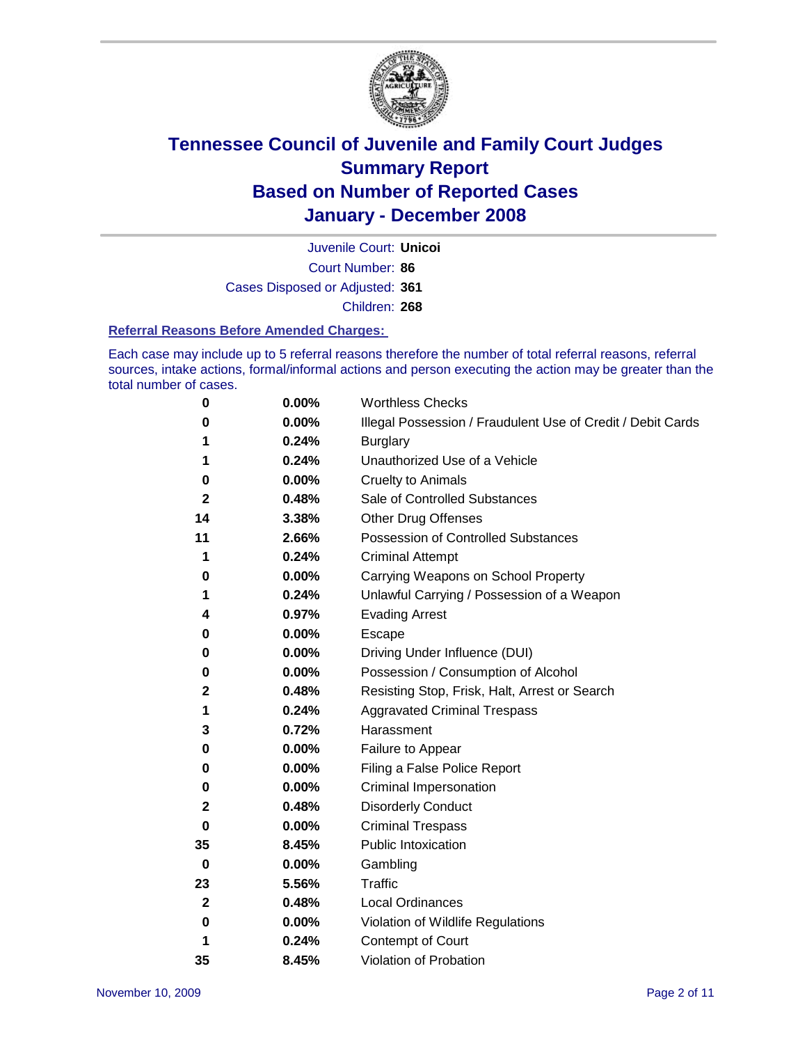

Court Number: **86** Juvenile Court: **Unicoi** Cases Disposed or Adjusted: **361** Children: **268**

#### **Referral Reasons Before Amended Charges:**

Each case may include up to 5 referral reasons therefore the number of total referral reasons, referral sources, intake actions, formal/informal actions and person executing the action may be greater than the total number of cases.

| 0           | 0.00%    | <b>Worthless Checks</b>                                     |
|-------------|----------|-------------------------------------------------------------|
| 0           | 0.00%    | Illegal Possession / Fraudulent Use of Credit / Debit Cards |
| 1           | 0.24%    | <b>Burglary</b>                                             |
| 1           | 0.24%    | Unauthorized Use of a Vehicle                               |
| 0           | $0.00\%$ | <b>Cruelty to Animals</b>                                   |
| 2           | 0.48%    | Sale of Controlled Substances                               |
| 14          | 3.38%    | <b>Other Drug Offenses</b>                                  |
| 11          | 2.66%    | <b>Possession of Controlled Substances</b>                  |
| 1           | 0.24%    | <b>Criminal Attempt</b>                                     |
| 0           | 0.00%    | Carrying Weapons on School Property                         |
| 1           | 0.24%    | Unlawful Carrying / Possession of a Weapon                  |
| 4           | 0.97%    | <b>Evading Arrest</b>                                       |
| 0           | 0.00%    | Escape                                                      |
| 0           | 0.00%    | Driving Under Influence (DUI)                               |
| 0           | $0.00\%$ | Possession / Consumption of Alcohol                         |
| 2           | 0.48%    | Resisting Stop, Frisk, Halt, Arrest or Search               |
| 1           | 0.24%    | <b>Aggravated Criminal Trespass</b>                         |
| 3           | 0.72%    | Harassment                                                  |
| 0           | 0.00%    | Failure to Appear                                           |
| 0           | 0.00%    | Filing a False Police Report                                |
| 0           | 0.00%    | Criminal Impersonation                                      |
| 2           | 0.48%    | <b>Disorderly Conduct</b>                                   |
| 0           | 0.00%    | <b>Criminal Trespass</b>                                    |
| 35          | 8.45%    | <b>Public Intoxication</b>                                  |
| 0           | 0.00%    | Gambling                                                    |
| 23          | 5.56%    | Traffic                                                     |
| $\mathbf 2$ | 0.48%    | Local Ordinances                                            |
| 0           | 0.00%    | Violation of Wildlife Regulations                           |
| 1           | 0.24%    | <b>Contempt of Court</b>                                    |
| 35          | 8.45%    | Violation of Probation                                      |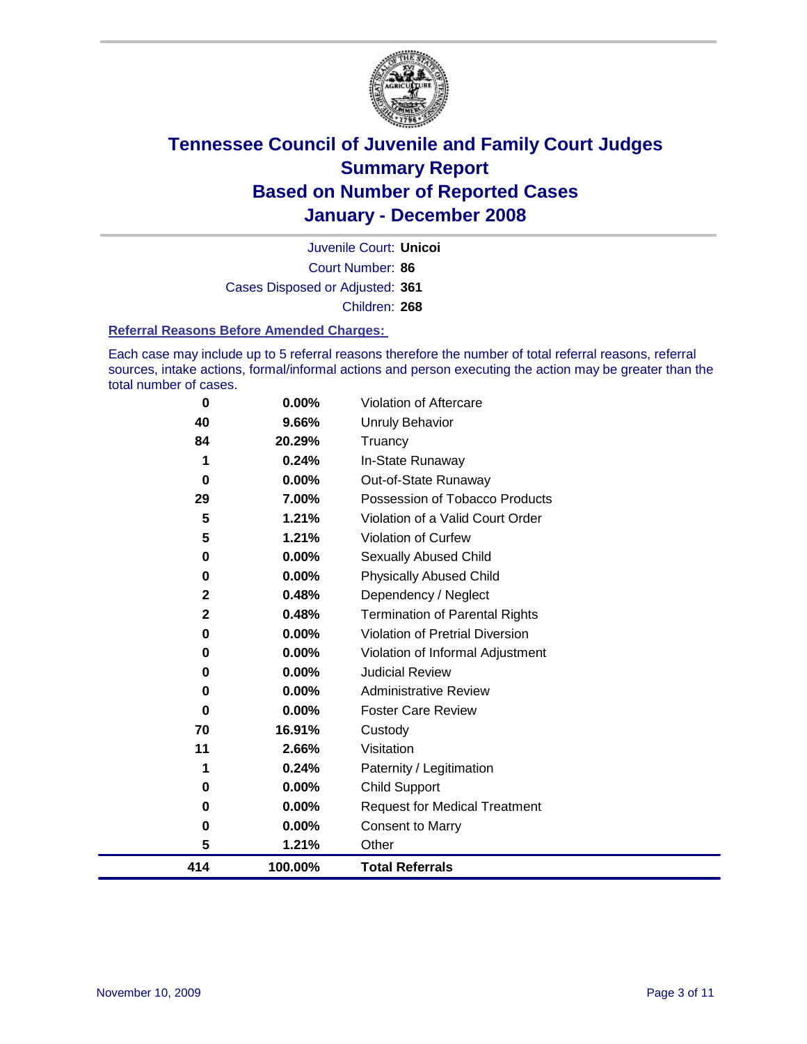

Court Number: **86** Juvenile Court: **Unicoi** Cases Disposed or Adjusted: **361** Children: **268**

#### **Referral Reasons Before Amended Charges:**

Each case may include up to 5 referral reasons therefore the number of total referral reasons, referral sources, intake actions, formal/informal actions and person executing the action may be greater than the total number of cases.

| $\bf{0}$    | 0.00%   | Violation of Aftercare                 |
|-------------|---------|----------------------------------------|
| 40          | 9.66%   | Unruly Behavior                        |
| 84          | 20.29%  | Truancy                                |
|             | 0.24%   | In-State Runaway                       |
| $\bf{0}$    | 0.00%   | Out-of-State Runaway                   |
| 29          | 7.00%   | Possession of Tobacco Products         |
| 5           | 1.21%   | Violation of a Valid Court Order       |
| 5           | 1.21%   | Violation of Curfew                    |
| 0           | 0.00%   | Sexually Abused Child                  |
| 0           | 0.00%   | <b>Physically Abused Child</b>         |
| $\mathbf 2$ | 0.48%   | Dependency / Neglect                   |
| $\mathbf 2$ | 0.48%   | <b>Termination of Parental Rights</b>  |
| 0           | 0.00%   | <b>Violation of Pretrial Diversion</b> |
| 0           | 0.00%   | Violation of Informal Adjustment       |
| 0           | 0.00%   | <b>Judicial Review</b>                 |
| $\bf{0}$    | 0.00%   | <b>Administrative Review</b>           |
| $\bf{0}$    | 0.00%   | <b>Foster Care Review</b>              |
| 70          | 16.91%  | Custody                                |
| 11          | 2.66%   | Visitation                             |
| 1           | 0.24%   | Paternity / Legitimation               |
| 0           | 0.00%   | <b>Child Support</b>                   |
| 0           | 0.00%   | <b>Request for Medical Treatment</b>   |
| $\bf{0}$    | 0.00%   | <b>Consent to Marry</b>                |
| 5           | 1.21%   | Other                                  |
| 414         | 100.00% | <b>Total Referrals</b>                 |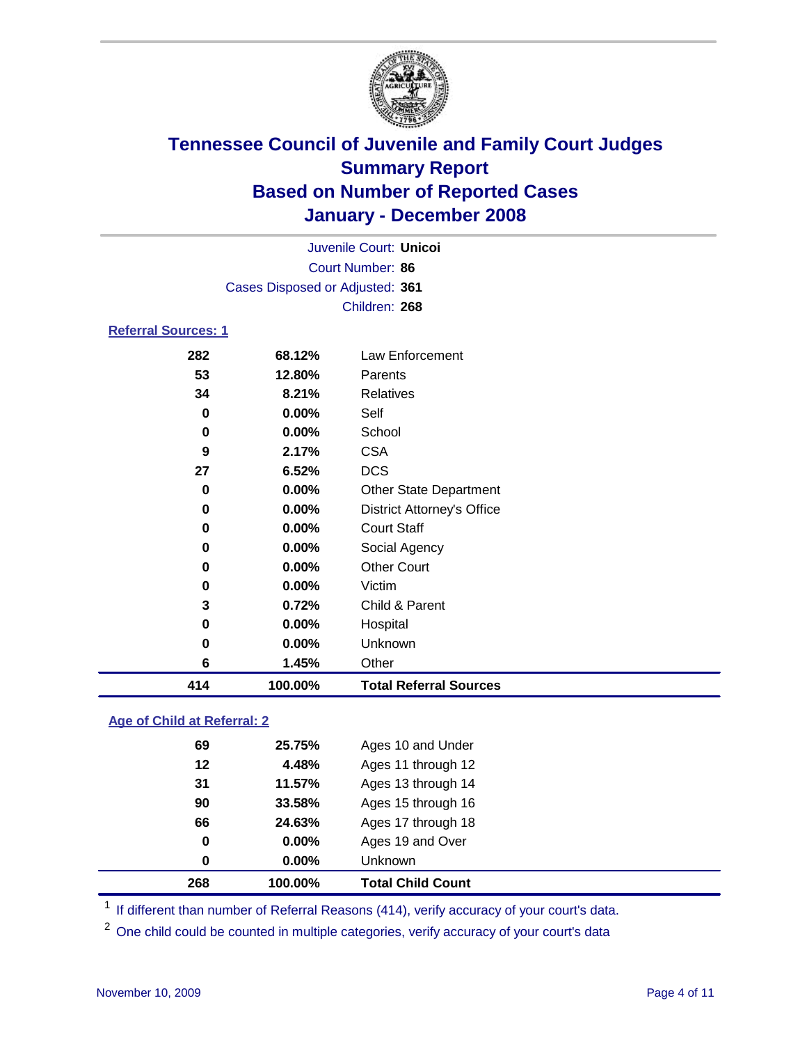

| Juvenile Court: Unicol          |  |
|---------------------------------|--|
| Court Number: 86                |  |
| Cases Disposed or Adjusted: 361 |  |
| Children: 268                   |  |
| <b>Referral Sources: 1</b>      |  |

| 282      | 68.12%   | Law Enforcement                   |
|----------|----------|-----------------------------------|
| 53       | 12.80%   | Parents                           |
| 34       | 8.21%    | Relatives                         |
| 0        | 0.00%    | Self                              |
| 0        | 0.00%    | School                            |
| 9        | 2.17%    | <b>CSA</b>                        |
| 27       | 6.52%    | <b>DCS</b>                        |
| 0        | $0.00\%$ | <b>Other State Department</b>     |
| $\bf{0}$ | $0.00\%$ | <b>District Attorney's Office</b> |
| 0        | $0.00\%$ | <b>Court Staff</b>                |
| $\bf{0}$ | 0.00%    | Social Agency                     |
| 0        | $0.00\%$ | <b>Other Court</b>                |
| 0        | 0.00%    | Victim                            |
| 3        | 0.72%    | Child & Parent                    |
| 0        | 0.00%    | Hospital                          |
| 0        | 0.00%    | Unknown                           |
| 6        | 1.45%    | Other                             |
| 414      | 100.00%  | <b>Total Referral Sources</b>     |

### **Age of Child at Referral: 2**

|    |          | <b>Total Child Count</b> |
|----|----------|--------------------------|
| 0  | $0.00\%$ | Unknown                  |
| 0  | $0.00\%$ | Ages 19 and Over         |
| 66 | 24.63%   | Ages 17 through 18       |
| 90 | 33.58%   | Ages 15 through 16       |
| 31 | 11.57%   | Ages 13 through 14       |
| 12 | 4.48%    | Ages 11 through 12       |
| 69 | 25.75%   | Ages 10 and Under        |
|    |          | 268<br>100.00%           |

<sup>1</sup> If different than number of Referral Reasons (414), verify accuracy of your court's data.

<sup>2</sup> One child could be counted in multiple categories, verify accuracy of your court's data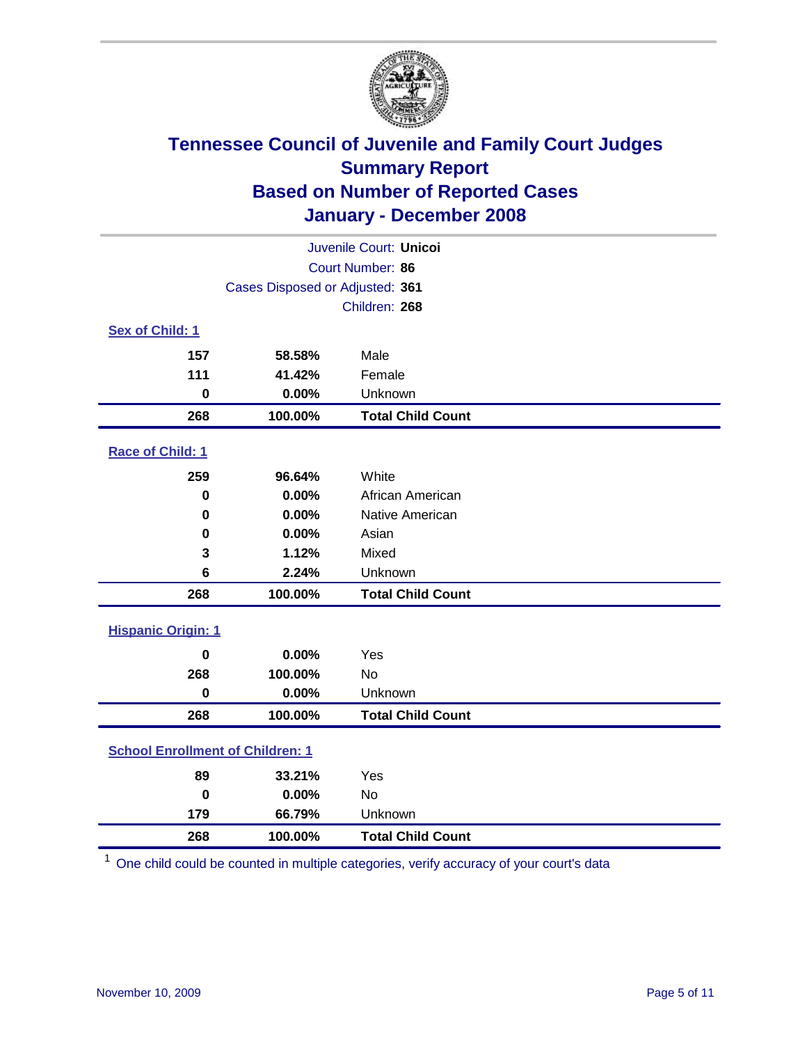

| Juvenile Court: Unicoi                  |                                 |                          |  |  |  |
|-----------------------------------------|---------------------------------|--------------------------|--|--|--|
| Court Number: 86                        |                                 |                          |  |  |  |
|                                         | Cases Disposed or Adjusted: 361 |                          |  |  |  |
|                                         |                                 | Children: 268            |  |  |  |
| Sex of Child: 1                         |                                 |                          |  |  |  |
| 157                                     | 58.58%                          | Male                     |  |  |  |
| 111                                     | 41.42%                          | Female                   |  |  |  |
| $\bf{0}$                                | 0.00%                           | Unknown                  |  |  |  |
| 268                                     | 100.00%                         | <b>Total Child Count</b> |  |  |  |
| <b>Race of Child: 1</b>                 |                                 |                          |  |  |  |
| 259                                     | 96.64%                          | White                    |  |  |  |
| $\mathbf 0$                             | 0.00%                           | African American         |  |  |  |
| 0                                       | 0.00%                           | Native American          |  |  |  |
| 0                                       | 0.00%                           | Asian                    |  |  |  |
| 3                                       | 1.12%                           | Mixed                    |  |  |  |
| 6                                       | 2.24%                           | Unknown                  |  |  |  |
| 268                                     | 100.00%                         | <b>Total Child Count</b> |  |  |  |
| <b>Hispanic Origin: 1</b>               |                                 |                          |  |  |  |
| $\mathbf 0$                             | 0.00%                           | Yes                      |  |  |  |
| 268                                     | 100.00%                         | No                       |  |  |  |
| $\mathbf 0$                             | 0.00%                           | Unknown                  |  |  |  |
| 268                                     | 100.00%                         | <b>Total Child Count</b> |  |  |  |
| <b>School Enrollment of Children: 1</b> |                                 |                          |  |  |  |
| 89                                      | 33.21%                          | Yes                      |  |  |  |
| $\bf{0}$                                | 0.00%                           | No                       |  |  |  |
| 179                                     | 66.79%                          | Unknown                  |  |  |  |
| 268                                     | 100.00%                         | <b>Total Child Count</b> |  |  |  |

One child could be counted in multiple categories, verify accuracy of your court's data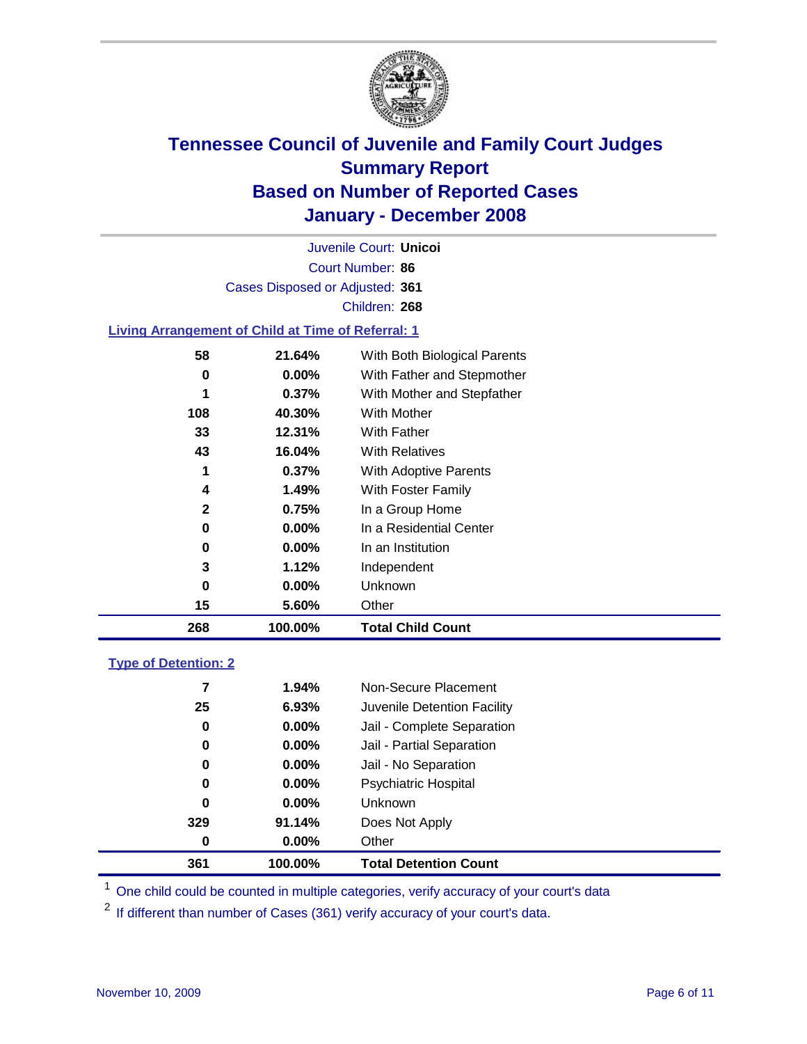

Court Number: **86** Juvenile Court: **Unicoi** Cases Disposed or Adjusted: **361** Children: **268**

#### **Living Arrangement of Child at Time of Referral: 1**

| 268 | 100.00%  | <b>Total Child Count</b>     |
|-----|----------|------------------------------|
| 15  | 5.60%    | Other                        |
| 0   | 0.00%    | Unknown                      |
| 3   | 1.12%    | Independent                  |
| 0   | $0.00\%$ | In an Institution            |
| 0   | $0.00\%$ | In a Residential Center      |
| 2   | 0.75%    | In a Group Home              |
| 4   | 1.49%    | With Foster Family           |
| 1   | 0.37%    | With Adoptive Parents        |
| 43  | 16.04%   | <b>With Relatives</b>        |
| 33  | 12.31%   | With Father                  |
| 108 | 40.30%   | With Mother                  |
| 1   | 0.37%    | With Mother and Stepfather   |
| 0   | $0.00\%$ | With Father and Stepmother   |
| 58  | 21.64%   | With Both Biological Parents |
|     |          |                              |

#### **Type of Detention: 2**

| 361 | 100.00%  | <b>Total Detention Count</b> |
|-----|----------|------------------------------|
| 0   | $0.00\%$ | Other                        |
| 329 | 91.14%   | Does Not Apply               |
| 0   | $0.00\%$ | <b>Unknown</b>               |
| 0   | 0.00%    | <b>Psychiatric Hospital</b>  |
| 0   | $0.00\%$ | Jail - No Separation         |
| 0   | $0.00\%$ | Jail - Partial Separation    |
| 0   | $0.00\%$ | Jail - Complete Separation   |
| 25  | 6.93%    | Juvenile Detention Facility  |
| 7   | 1.94%    | Non-Secure Placement         |
|     |          |                              |

<sup>1</sup> One child could be counted in multiple categories, verify accuracy of your court's data

<sup>2</sup> If different than number of Cases (361) verify accuracy of your court's data.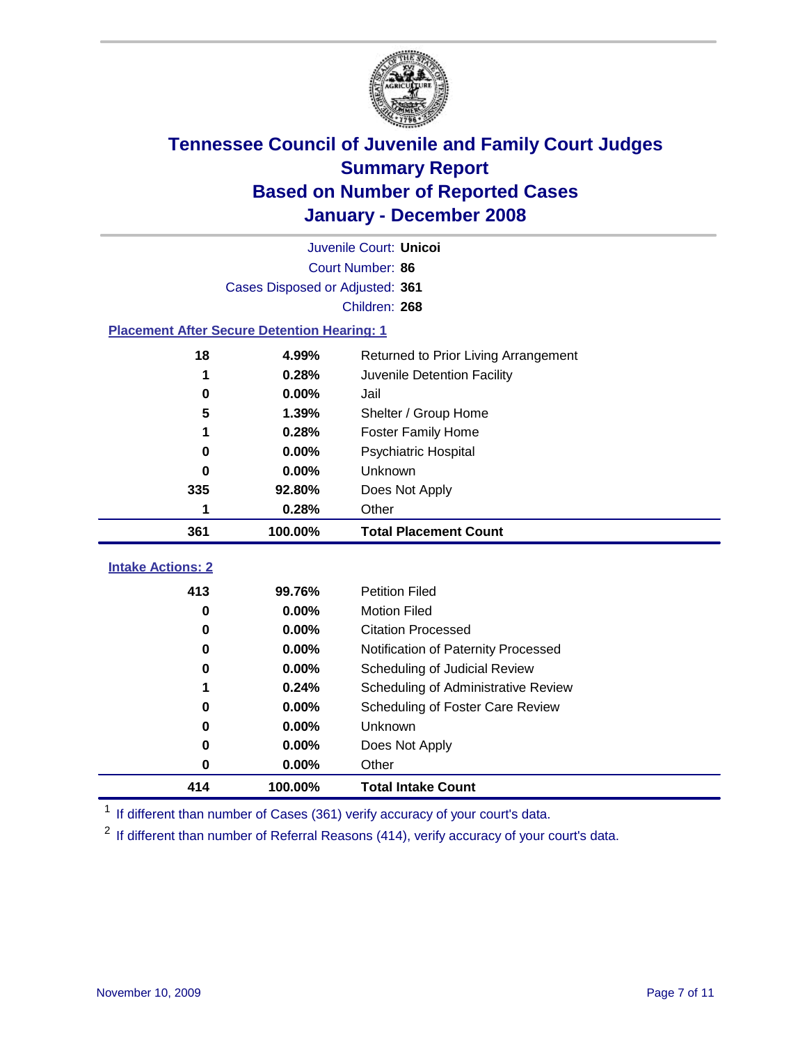

|                                                    | Juvenile Court: Unicoi               |                                      |  |  |  |  |
|----------------------------------------------------|--------------------------------------|--------------------------------------|--|--|--|--|
|                                                    | Court Number: 86                     |                                      |  |  |  |  |
|                                                    | Cases Disposed or Adjusted: 361      |                                      |  |  |  |  |
|                                                    |                                      | Children: 268                        |  |  |  |  |
| <b>Placement After Secure Detention Hearing: 1</b> |                                      |                                      |  |  |  |  |
| 18                                                 | 4.99%                                | Returned to Prior Living Arrangement |  |  |  |  |
| 1                                                  | 0.28%                                | Juvenile Detention Facility          |  |  |  |  |
| $\bf{0}$                                           | 0.00%                                | Jail                                 |  |  |  |  |
| 5                                                  | 1.39%                                | Shelter / Group Home                 |  |  |  |  |
| 1                                                  | 0.28%                                | <b>Foster Family Home</b>            |  |  |  |  |
| $\bf{0}$                                           | 0.00%                                | Psychiatric Hospital                 |  |  |  |  |
| 0                                                  | 0.00%                                | <b>Unknown</b>                       |  |  |  |  |
| 335                                                | 92.80%                               | Does Not Apply                       |  |  |  |  |
| 1                                                  | 0.28%                                | Other                                |  |  |  |  |
| 361                                                | 100.00%                              | <b>Total Placement Count</b>         |  |  |  |  |
| <b>Intake Actions: 2</b>                           |                                      |                                      |  |  |  |  |
| 413                                                | 99.76%                               | <b>Petition Filed</b>                |  |  |  |  |
| $\bf{0}$                                           | 0.00%                                | <b>Motion Filed</b>                  |  |  |  |  |
| $\bf{0}$                                           | 0.00%                                | <b>Citation Processed</b>            |  |  |  |  |
| $\bf{0}$                                           | 0.00%                                | Notification of Paternity Processed  |  |  |  |  |
| 0                                                  | 0.00%                                | Scheduling of Judicial Review        |  |  |  |  |
| 1                                                  | 0.24%                                | Scheduling of Administrative Review  |  |  |  |  |
| 0                                                  | 0.00%                                | Scheduling of Foster Care Review     |  |  |  |  |
| 0                                                  | 0.00%                                | Unknown                              |  |  |  |  |
| 0                                                  | 0.00%                                | Does Not Apply                       |  |  |  |  |
| 0                                                  | 0.00%                                | Other                                |  |  |  |  |
| 414                                                | 100.00%<br><b>Total Intake Count</b> |                                      |  |  |  |  |

<sup>1</sup> If different than number of Cases (361) verify accuracy of your court's data.

<sup>2</sup> If different than number of Referral Reasons (414), verify accuracy of your court's data.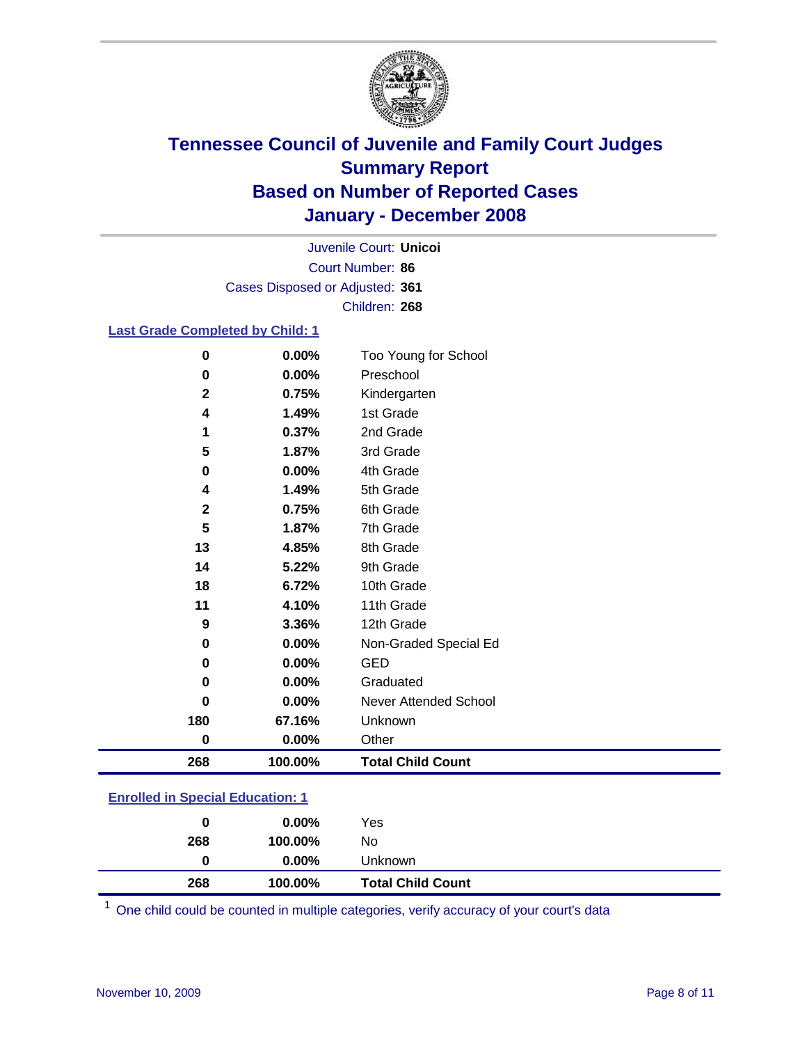

Court Number: **86** Juvenile Court: **Unicoi** Cases Disposed or Adjusted: **361** Children: **268**

### **Last Grade Completed by Child: 1**

| 0           | 0.00%   | Too Young for School     |
|-------------|---------|--------------------------|
| 0           | 0.00%   | Preschool                |
| $\mathbf 2$ | 0.75%   | Kindergarten             |
| 4           | 1.49%   | 1st Grade                |
| 1           | 0.37%   | 2nd Grade                |
| 5           | 1.87%   | 3rd Grade                |
| 0           | 0.00%   | 4th Grade                |
| 4           | 1.49%   | 5th Grade                |
| $\mathbf 2$ | 0.75%   | 6th Grade                |
| 5           | 1.87%   | 7th Grade                |
| 13          | 4.85%   | 8th Grade                |
| 14          | 5.22%   | 9th Grade                |
| 18          | 6.72%   | 10th Grade               |
| 11          | 4.10%   | 11th Grade               |
| 9           | 3.36%   | 12th Grade               |
| 0           | 0.00%   | Non-Graded Special Ed    |
| 0           | 0.00%   | <b>GED</b>               |
| 0           | 0.00%   | Graduated                |
| 0           | 0.00%   | Never Attended School    |
| 180         | 67.16%  | Unknown                  |
| 0           | 0.00%   | Other                    |
| 268         | 100.00% | <b>Total Child Count</b> |

### **Enrolled in Special Education: 1**

| 0<br>268 | $0.00\%$<br>100.00% | Yes<br>No.               |
|----------|---------------------|--------------------------|
| 0        | $0.00\%$            | Unknown                  |
| 268      | 100.00%             | <b>Total Child Count</b> |

One child could be counted in multiple categories, verify accuracy of your court's data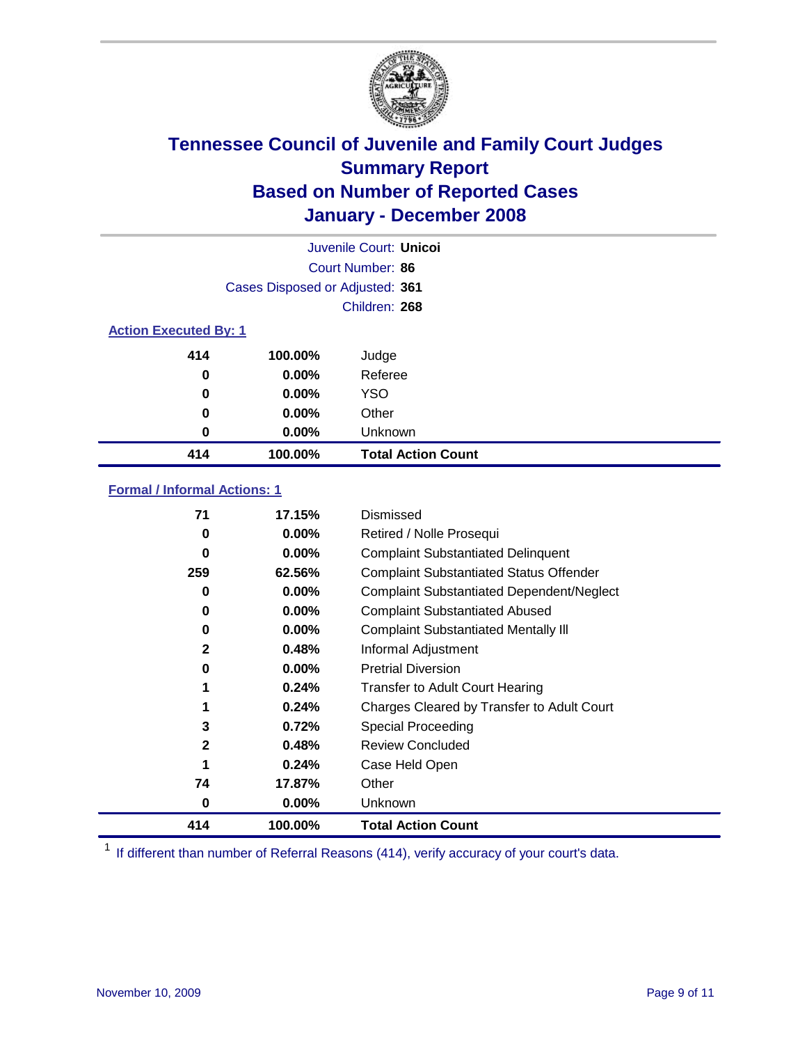

|                              |                                 | Juvenile Court: Unicol    |  |
|------------------------------|---------------------------------|---------------------------|--|
|                              |                                 | Court Number: 86          |  |
|                              | Cases Disposed or Adjusted: 361 |                           |  |
|                              |                                 | Children: 268             |  |
| <b>Action Executed By: 1</b> |                                 |                           |  |
| 414                          | 100.00%                         | Judge                     |  |
| 0                            | $0.00\%$                        | Referee                   |  |
| 0                            | $0.00\%$                        | <b>YSO</b>                |  |
| 0                            | $0.00\%$                        | Other                     |  |
| 0                            | $0.00\%$                        | Unknown                   |  |
| 414                          | 100.00%                         | <b>Total Action Count</b> |  |

### **Formal / Informal Actions: 1**

| 71           | 17.15%   | Dismissed                                        |
|--------------|----------|--------------------------------------------------|
| 0            | $0.00\%$ | Retired / Nolle Prosequi                         |
| 0            | $0.00\%$ | <b>Complaint Substantiated Delinquent</b>        |
| 259          | 62.56%   | <b>Complaint Substantiated Status Offender</b>   |
| 0            | $0.00\%$ | <b>Complaint Substantiated Dependent/Neglect</b> |
| 0            | $0.00\%$ | <b>Complaint Substantiated Abused</b>            |
| 0            | $0.00\%$ | <b>Complaint Substantiated Mentally III</b>      |
| $\mathbf{2}$ | 0.48%    | Informal Adjustment                              |
| 0            | $0.00\%$ | <b>Pretrial Diversion</b>                        |
| 1            | 0.24%    | <b>Transfer to Adult Court Hearing</b>           |
|              | 0.24%    | Charges Cleared by Transfer to Adult Court       |
| 3            | 0.72%    | Special Proceeding                               |
| $\mathbf{2}$ | 0.48%    | Review Concluded                                 |
| 1            | 0.24%    | Case Held Open                                   |
| 74           | 17.87%   | Other                                            |
| 0            | 0.00%    | Unknown                                          |
| 414          | 100.00%  | <b>Total Action Count</b>                        |

<sup>1</sup> If different than number of Referral Reasons (414), verify accuracy of your court's data.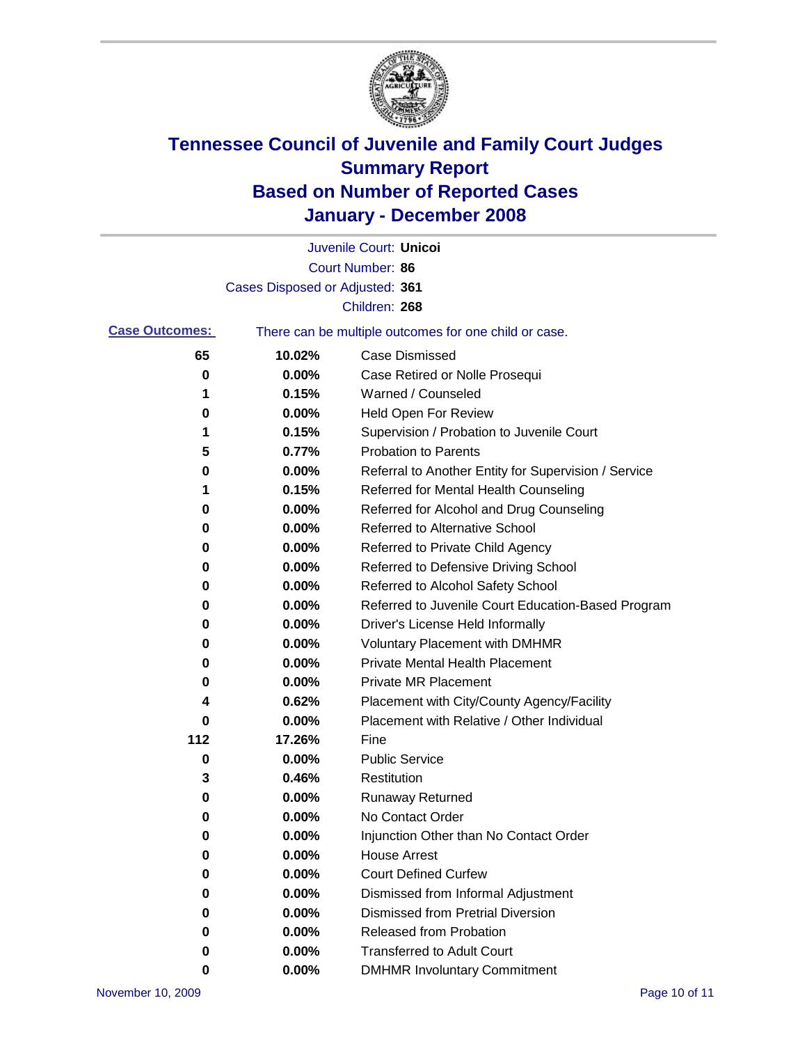

|                       |                                 | Juvenile Court: Unicoi                                |
|-----------------------|---------------------------------|-------------------------------------------------------|
|                       |                                 | Court Number: 86                                      |
|                       | Cases Disposed or Adjusted: 361 |                                                       |
|                       |                                 | Children: 268                                         |
| <b>Case Outcomes:</b> |                                 | There can be multiple outcomes for one child or case. |
| 65                    | 10.02%                          | <b>Case Dismissed</b>                                 |
| 0                     | 0.00%                           | Case Retired or Nolle Prosequi                        |
| 1                     | 0.15%                           | Warned / Counseled                                    |
| 0                     | 0.00%                           | <b>Held Open For Review</b>                           |
| 1                     | 0.15%                           | Supervision / Probation to Juvenile Court             |
| 5                     | 0.77%                           | <b>Probation to Parents</b>                           |
| 0                     | 0.00%                           | Referral to Another Entity for Supervision / Service  |
| 1                     | 0.15%                           | Referred for Mental Health Counseling                 |
| 0                     | 0.00%                           | Referred for Alcohol and Drug Counseling              |
| 0                     | 0.00%                           | <b>Referred to Alternative School</b>                 |
| 0                     | 0.00%                           | Referred to Private Child Agency                      |
| 0                     | 0.00%                           | Referred to Defensive Driving School                  |
| 0                     | 0.00%                           | Referred to Alcohol Safety School                     |
| 0                     | 0.00%                           | Referred to Juvenile Court Education-Based Program    |
| 0                     | 0.00%                           | Driver's License Held Informally                      |
| 0                     | 0.00%                           | <b>Voluntary Placement with DMHMR</b>                 |
| 0                     | 0.00%                           | <b>Private Mental Health Placement</b>                |
| 0                     | 0.00%                           | <b>Private MR Placement</b>                           |
| 4                     | 0.62%                           | Placement with City/County Agency/Facility            |
| 0                     | 0.00%                           | Placement with Relative / Other Individual            |
| 112                   | 17.26%                          | Fine                                                  |
| 0                     | 0.00%                           | <b>Public Service</b>                                 |
| 3                     | 0.46%                           | Restitution                                           |
| 0                     | 0.00%                           | <b>Runaway Returned</b>                               |
| 0                     | 0.00%                           | No Contact Order                                      |
| 0                     | 0.00%                           | Injunction Other than No Contact Order                |
| 0                     | 0.00%                           | <b>House Arrest</b>                                   |
| 0                     | 0.00%                           | <b>Court Defined Curfew</b>                           |
| 0                     | 0.00%                           | Dismissed from Informal Adjustment                    |
| 0                     | 0.00%                           | <b>Dismissed from Pretrial Diversion</b>              |
| 0                     | 0.00%                           | Released from Probation                               |
| 0                     | 0.00%                           | <b>Transferred to Adult Court</b>                     |
| 0                     | 0.00%                           | <b>DMHMR Involuntary Commitment</b>                   |